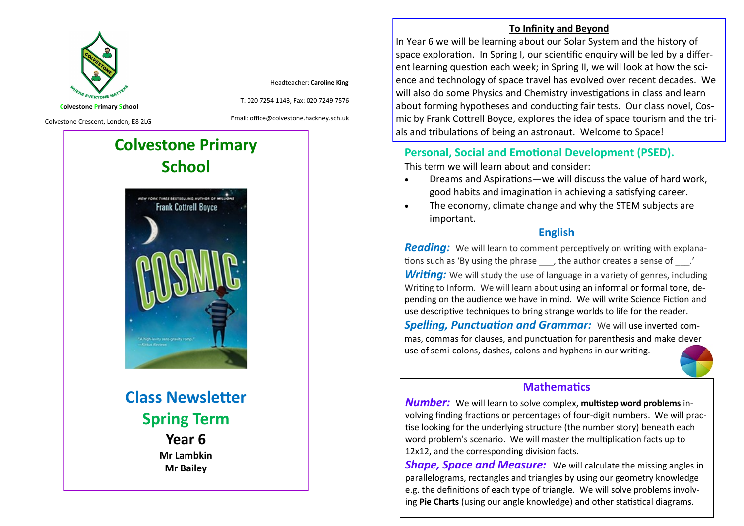

Headteacher: **Caroline King**

**Colvestone Primary School**

Colvestone Crescent, London, E8 2LG

Email: office@colvestone.hackney.sch.uk

T: 020 7254 1143, Fax: 020 7249 7576

# **Colvestone Primary School**



**Class Newsletter Spring Term Year 6 Mr Lambkin Mr Bailey**

#### **To Infinity and Beyond**

In Year 6 we will be learning about our Solar System and the history of space exploration. In Spring I, our scientific enquiry will be led by a different learning question each week; in Spring II, we will look at how the science and technology of space travel has evolved over recent decades. We will also do some Physics and Chemistry investigations in class and learn about forming hypotheses and conducting fair tests. Our class novel, Cosmic by Frank Cottrell Boyce, explores the idea of space tourism and the trials and tribulations of being an astronaut. Welcome to Space!

# **Personal, Social and Emotional Development (PSED).**

This term we will learn about and consider:

- Dreams and Aspirations—we will discuss the value of hard work, good habits and imagination in achieving a satisfying career.
- The economy, climate change and why the STEM subjects are important.

## **English**

*Reading:* We will learn to comment perceptively on writing with explanations such as 'By using the phrase \_\_\_, the author creates a sense of \_\_\_.'

**Writing:** We will study the use of language in a variety of genres, including Writing to Inform. We will learn about using an informal or formal tone, depending on the audience we have in mind. We will write Science Fiction and use descriptive techniques to bring strange worlds to life for the reader.

*Spelling, Punctuation and Grammar:* We will use inverted commas, commas for clauses, and punctuation for parenthesis and make clever use of semi-colons, dashes, colons and hyphens in our writing.



### **Mathematics**

*Number:* We will learn to solve complex, **multistep word problems** involving finding fractions or percentages of four-digit numbers. We will practise looking for the underlying structure (the number story) beneath each word problem's scenario. We will master the multiplication facts up to 12x12, and the corresponding division facts.

*Shape, Space and Measure:* We will calculate the missing angles in parallelograms, rectangles and triangles by using our geometry knowledge e.g. the definitions of each type of triangle. We will solve problems involving **Pie Charts** (using our angle knowledge) and other statistical diagrams.